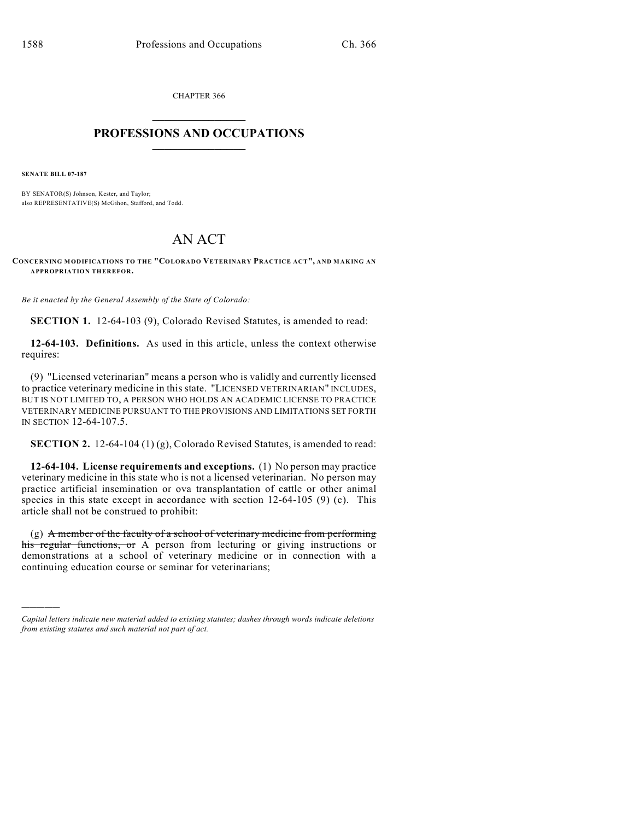CHAPTER 366  $\mathcal{L}_\text{max}$  . The set of the set of the set of the set of the set of the set of the set of the set of the set of the set of the set of the set of the set of the set of the set of the set of the set of the set of the set

## **PROFESSIONS AND OCCUPATIONS**  $\frac{1}{2}$  ,  $\frac{1}{2}$  ,  $\frac{1}{2}$  ,  $\frac{1}{2}$  ,  $\frac{1}{2}$  ,  $\frac{1}{2}$

**SENATE BILL 07-187**

)))))

BY SENATOR(S) Johnson, Kester, and Taylor; also REPRESENTATIVE(S) McGihon, Stafford, and Todd.

## AN ACT

**CONCERNING MODIFICATIONS TO THE "COLORADO VETERINARY PRACTICE ACT", AND MAKING AN APPROPRIATION THEREFOR.**

*Be it enacted by the General Assembly of the State of Colorado:*

**SECTION 1.** 12-64-103 (9), Colorado Revised Statutes, is amended to read:

**12-64-103. Definitions.** As used in this article, unless the context otherwise requires:

(9) "Licensed veterinarian" means a person who is validly and currently licensed to practice veterinary medicine in this state. "LICENSED VETERINARIAN" INCLUDES, BUT IS NOT LIMITED TO, A PERSON WHO HOLDS AN ACADEMIC LICENSE TO PRACTICE VETERINARY MEDICINE PURSUANT TO THE PROVISIONS AND LIMITATIONS SET FORTH IN SECTION 12-64-107.5.

**SECTION 2.** 12-64-104 (1) (g), Colorado Revised Statutes, is amended to read:

**12-64-104. License requirements and exceptions.** (1) No person may practice veterinary medicine in this state who is not a licensed veterinarian. No person may practice artificial insemination or ova transplantation of cattle or other animal species in this state except in accordance with section  $12-64-105$  (9) (c). This article shall not be construed to prohibit:

(g) A member of the faculty of a school of veterinary medicine from performing his regular functions, or A person from lecturing or giving instructions or demonstrations at a school of veterinary medicine or in connection with a continuing education course or seminar for veterinarians;

*Capital letters indicate new material added to existing statutes; dashes through words indicate deletions from existing statutes and such material not part of act.*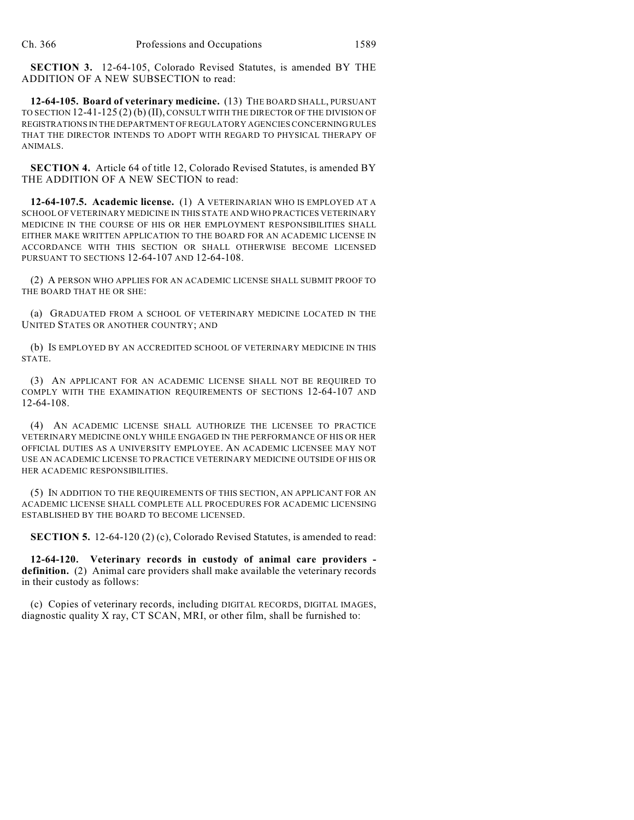**SECTION 3.** 12-64-105, Colorado Revised Statutes, is amended BY THE ADDITION OF A NEW SUBSECTION to read:

**12-64-105. Board of veterinary medicine.** (13) THE BOARD SHALL, PURSUANT TO SECTION 12-41-125 (2) (b) (II), CONSULT WITH THE DIRECTOR OF THE DIVISION OF REGISTRATIONS IN THE DEPARTMENT OF REGULATORY AGENCIES CONCERNING RULES THAT THE DIRECTOR INTENDS TO ADOPT WITH REGARD TO PHYSICAL THERAPY OF ANIMALS.

**SECTION 4.** Article 64 of title 12, Colorado Revised Statutes, is amended BY THE ADDITION OF A NEW SECTION to read:

**12-64-107.5. Academic license.** (1) A VETERINARIAN WHO IS EMPLOYED AT A SCHOOL OF VETERINARY MEDICINE IN THIS STATE AND WHO PRACTICES VETERINARY MEDICINE IN THE COURSE OF HIS OR HER EMPLOYMENT RESPONSIBILITIES SHALL EITHER MAKE WRITTEN APPLICATION TO THE BOARD FOR AN ACADEMIC LICENSE IN ACCORDANCE WITH THIS SECTION OR SHALL OTHERWISE BECOME LICENSED PURSUANT TO SECTIONS 12-64-107 AND 12-64-108.

(2) A PERSON WHO APPLIES FOR AN ACADEMIC LICENSE SHALL SUBMIT PROOF TO THE BOARD THAT HE OR SHE:

(a) GRADUATED FROM A SCHOOL OF VETERINARY MEDICINE LOCATED IN THE UNITED STATES OR ANOTHER COUNTRY; AND

(b) IS EMPLOYED BY AN ACCREDITED SCHOOL OF VETERINARY MEDICINE IN THIS STATE.

(3) AN APPLICANT FOR AN ACADEMIC LICENSE SHALL NOT BE REQUIRED TO COMPLY WITH THE EXAMINATION REQUIREMENTS OF SECTIONS 12-64-107 AND 12-64-108.

(4) AN ACADEMIC LICENSE SHALL AUTHORIZE THE LICENSEE TO PRACTICE VETERINARY MEDICINE ONLY WHILE ENGAGED IN THE PERFORMANCE OF HIS OR HER OFFICIAL DUTIES AS A UNIVERSITY EMPLOYEE. AN ACADEMIC LICENSEE MAY NOT USE AN ACADEMIC LICENSE TO PRACTICE VETERINARY MEDICINE OUTSIDE OF HIS OR HER ACADEMIC RESPONSIBILITIES.

(5) IN ADDITION TO THE REQUIREMENTS OF THIS SECTION, AN APPLICANT FOR AN ACADEMIC LICENSE SHALL COMPLETE ALL PROCEDURES FOR ACADEMIC LICENSING ESTABLISHED BY THE BOARD TO BECOME LICENSED.

**SECTION 5.** 12-64-120 (2) (c), Colorado Revised Statutes, is amended to read:

**12-64-120. Veterinary records in custody of animal care providers definition.** (2) Animal care providers shall make available the veterinary records in their custody as follows:

(c) Copies of veterinary records, including DIGITAL RECORDS, DIGITAL IMAGES, diagnostic quality X ray, CT SCAN, MRI, or other film, shall be furnished to: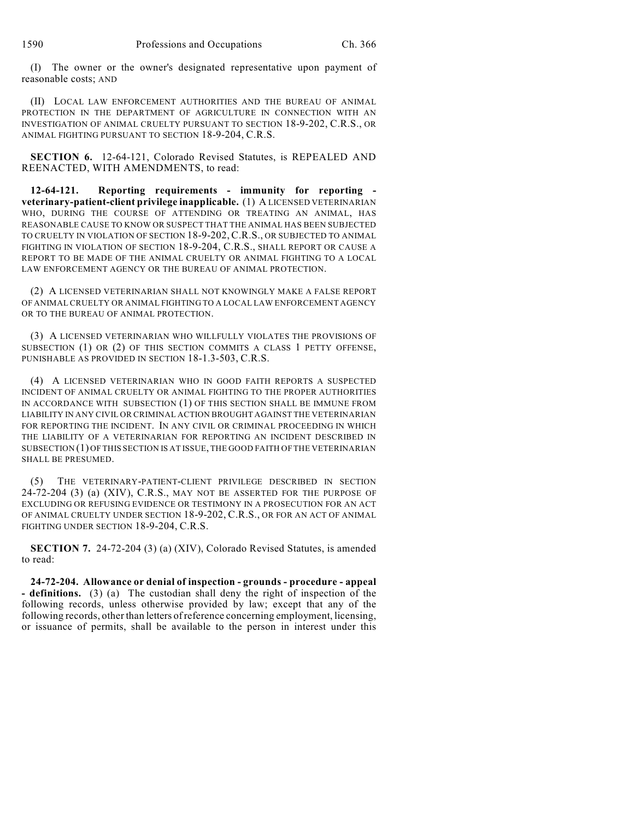(I) The owner or the owner's designated representative upon payment of reasonable costs; AND

(II) LOCAL LAW ENFORCEMENT AUTHORITIES AND THE BUREAU OF ANIMAL PROTECTION IN THE DEPARTMENT OF AGRICULTURE IN CONNECTION WITH AN INVESTIGATION OF ANIMAL CRUELTY PURSUANT TO SECTION 18-9-202, C.R.S., OR ANIMAL FIGHTING PURSUANT TO SECTION 18-9-204, C.R.S.

**SECTION 6.** 12-64-121, Colorado Revised Statutes, is REPEALED AND REENACTED, WITH AMENDMENTS, to read:

**12-64-121. Reporting requirements - immunity for reporting veterinary-patient-client privilege inapplicable.** (1) A LICENSED VETERINARIAN WHO, DURING THE COURSE OF ATTENDING OR TREATING AN ANIMAL, HAS REASONABLE CAUSE TO KNOW OR SUSPECT THAT THE ANIMAL HAS BEEN SUBJECTED TO CRUELTY IN VIOLATION OF SECTION 18-9-202, C.R.S., OR SUBJECTED TO ANIMAL FIGHTING IN VIOLATION OF SECTION 18-9-204, C.R.S., SHALL REPORT OR CAUSE A REPORT TO BE MADE OF THE ANIMAL CRUELTY OR ANIMAL FIGHTING TO A LOCAL LAW ENFORCEMENT AGENCY OR THE BUREAU OF ANIMAL PROTECTION.

(2) A LICENSED VETERINARIAN SHALL NOT KNOWINGLY MAKE A FALSE REPORT OF ANIMAL CRUELTY OR ANIMAL FIGHTING TO A LOCAL LAW ENFORCEMENT AGENCY OR TO THE BUREAU OF ANIMAL PROTECTION.

(3) A LICENSED VETERINARIAN WHO WILLFULLY VIOLATES THE PROVISIONS OF SUBSECTION (1) OR (2) OF THIS SECTION COMMITS A CLASS 1 PETTY OFFENSE, PUNISHABLE AS PROVIDED IN SECTION 18-1.3-503, C.R.S.

(4) A LICENSED VETERINARIAN WHO IN GOOD FAITH REPORTS A SUSPECTED INCIDENT OF ANIMAL CRUELTY OR ANIMAL FIGHTING TO THE PROPER AUTHORITIES IN ACCORDANCE WITH SUBSECTION (1) OF THIS SECTION SHALL BE IMMUNE FROM LIABILITY IN ANY CIVIL OR CRIMINAL ACTION BROUGHT AGAINST THE VETERINARIAN FOR REPORTING THE INCIDENT. IN ANY CIVIL OR CRIMINAL PROCEEDING IN WHICH THE LIABILITY OF A VETERINARIAN FOR REPORTING AN INCIDENT DESCRIBED IN SUBSECTION (1) OF THIS SECTION IS AT ISSUE, THE GOOD FAITH OF THE VETERINARIAN SHALL BE PRESUMED.

(5) THE VETERINARY-PATIENT-CLIENT PRIVILEGE DESCRIBED IN SECTION 24-72-204 (3) (a) (XIV), C.R.S., MAY NOT BE ASSERTED FOR THE PURPOSE OF EXCLUDING OR REFUSING EVIDENCE OR TESTIMONY IN A PROSECUTION FOR AN ACT OF ANIMAL CRUELTY UNDER SECTION 18-9-202, C.R.S., OR FOR AN ACT OF ANIMAL FIGHTING UNDER SECTION 18-9-204, C.R.S.

**SECTION 7.** 24-72-204 (3) (a) (XIV), Colorado Revised Statutes, is amended to read:

**24-72-204. Allowance or denial of inspection - grounds - procedure - appeal - definitions.** (3) (a) The custodian shall deny the right of inspection of the following records, unless otherwise provided by law; except that any of the following records, other than letters of reference concerning employment, licensing, or issuance of permits, shall be available to the person in interest under this